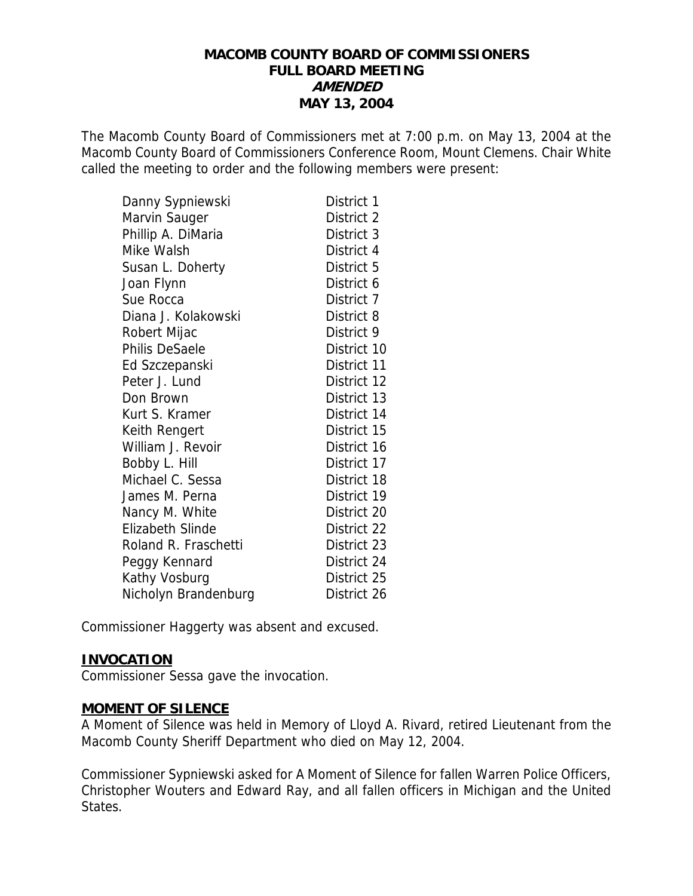### **MACOMB COUNTY BOARD OF COMMISSIONERS FULL BOARD MEETING AMENDED MAY 13, 2004**

The Macomb County Board of Commissioners met at 7:00 p.m. on May 13, 2004 at the Macomb County Board of Commissioners Conference Room, Mount Clemens. Chair White called the meeting to order and the following members were present:

| Danny Sypniewski        | District 1  |
|-------------------------|-------------|
| Marvin Sauger           | District 2  |
| Phillip A. DiMaria      | District 3  |
| Mike Walsh              | District 4  |
| Susan L. Doherty        | District 5  |
| Joan Flynn              | District 6  |
| Sue Rocca               | District 7  |
| Diana J. Kolakowski     | District 8  |
| Robert Mijac            | District 9  |
| <b>Philis DeSaele</b>   | District 10 |
| Ed Szczepanski          | District 11 |
| Peter J. Lund           | District 12 |
| Don Brown               | District 13 |
| Kurt S. Kramer          | District 14 |
| Keith Rengert           | District 15 |
| William J. Revoir       | District 16 |
| Bobby L. Hill           | District 17 |
| Michael C. Sessa        | District 18 |
| James M. Perna          | District 19 |
| Nancy M. White          | District 20 |
| <b>Elizabeth Slinde</b> | District 22 |
| Roland R. Fraschetti    | District 23 |
| Peggy Kennard           | District 24 |
| Kathy Vosburg           | District 25 |
| Nicholyn Brandenburg    | District 26 |

Commissioner Haggerty was absent and excused.

#### **INVOCATION**

Commissioner Sessa gave the invocation.

#### **MOMENT OF SILENCE**

A Moment of Silence was held in Memory of Lloyd A. Rivard, retired Lieutenant from the Macomb County Sheriff Department who died on May 12, 2004.

Commissioner Sypniewski asked for A Moment of Silence for fallen Warren Police Officers, Christopher Wouters and Edward Ray, and all fallen officers in Michigan and the United States.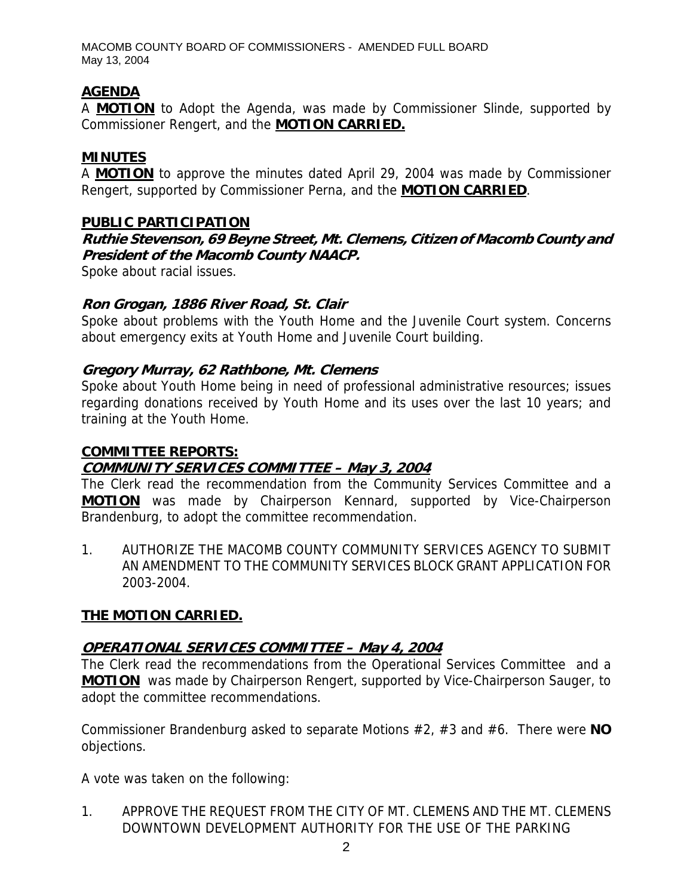MACOMB COUNTY BOARD OF COMMISSIONERS - AMENDED FULL BOARD May 13, 2004

# **AGENDA**

A **MOTION** to Adopt the Agenda, was made by Commissioner Slinde, supported by Commissioner Rengert, and the **MOTION CARRIED.**

# **MINUTES**

A **MOTION** to approve the minutes dated April 29, 2004 was made by Commissioner Rengert, supported by Commissioner Perna, and the **MOTION CARRIED**.

### **PUBLIC PARTICIPATION**

**Ruthie Stevenson, 69 Beyne Street, Mt. Clemens, Citizen of Macomb County and President of the Macomb County NAACP.** 

Spoke about racial issues.

### **Ron Grogan, 1886 River Road, St. Clair**

Spoke about problems with the Youth Home and the Juvenile Court system. Concerns about emergency exits at Youth Home and Juvenile Court building.

### **Gregory Murray, 62 Rathbone, Mt. Clemens**

Spoke about Youth Home being in need of professional administrative resources; issues regarding donations received by Youth Home and its uses over the last 10 years; and training at the Youth Home.

#### **COMMITTEE REPORTS:**

# **COMMUNITY SERVICES COMMITTEE – May 3, 2004**

The Clerk read the recommendation from the Community Services Committee and a **MOTION** was made by Chairperson Kennard, supported by Vice-Chairperson Brandenburg, to adopt the committee recommendation.

1. AUTHORIZE THE MACOMB COUNTY COMMUNITY SERVICES AGENCY TO SUBMIT AN AMENDMENT TO THE COMMUNITY SERVICES BLOCK GRANT APPLICATION FOR 2003-2004.

# **THE MOTION CARRIED.**

# **OPERATIONAL SERVICES COMMITTEE – May 4, 2004**

The Clerk read the recommendations from the Operational Services Committee and a **MOTION** was made by Chairperson Rengert, supported by Vice-Chairperson Sauger, to adopt the committee recommendations.

Commissioner Brandenburg asked to separate Motions #2, #3 and #6. There were **NO** objections.

A vote was taken on the following:

1. APPROVE THE REQUEST FROM THE CITY OF MT. CLEMENS AND THE MT. CLEMENS DOWNTOWN DEVELOPMENT AUTHORITY FOR THE USE OF THE PARKING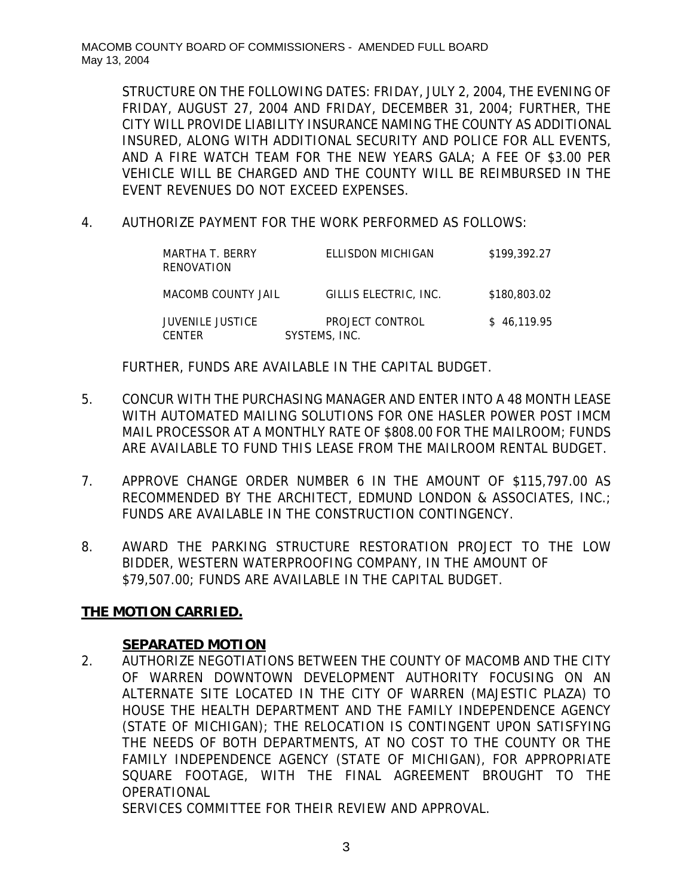STRUCTURE ON THE FOLLOWING DATES: FRIDAY, JULY 2, 2004, THE EVENING OF FRIDAY, AUGUST 27, 2004 AND FRIDAY, DECEMBER 31, 2004; FURTHER, THE CITY WILL PROVIDE LIABILITY INSURANCE NAMING THE COUNTY AS ADDITIONAL INSURED, ALONG WITH ADDITIONAL SECURITY AND POLICE FOR ALL EVENTS, AND A FIRE WATCH TEAM FOR THE NEW YEARS GALA; A FEE OF \$3.00 PER VEHICLE WILL BE CHARGED AND THE COUNTY WILL BE REIMBURSED IN THE EVENT REVENUES DO NOT EXCEED EXPENSES.

4. AUTHORIZE PAYMENT FOR THE WORK PERFORMED AS FOLLOWS:

| MARTHA T. BERRY<br>RENOVATION     | ELLISDON MICHIGAN                | \$199,392.27 |
|-----------------------------------|----------------------------------|--------------|
| MACOMB COUNTY JAIL                | GILLIS ELECTRIC. INC.            | \$180,803.02 |
| JUVENILE JUSTICE<br><b>CENTER</b> | PROJECT CONTROL<br>SYSTEMS, INC. | \$46.119.95  |

FURTHER, FUNDS ARE AVAILABLE IN THE CAPITAL BUDGET.

- 5. CONCUR WITH THE PURCHASING MANAGER AND ENTER INTO A 48 MONTH LEASE WITH AUTOMATED MAILING SOLUTIONS FOR ONE HASLER POWER POST IMCM MAIL PROCESSOR AT A MONTHLY RATE OF \$808.00 FOR THE MAILROOM; FUNDS ARE AVAILABLE TO FUND THIS LEASE FROM THE MAILROOM RENTAL BUDGET.
- 7. APPROVE CHANGE ORDER NUMBER 6 IN THE AMOUNT OF \$115,797.00 AS RECOMMENDED BY THE ARCHITECT, EDMUND LONDON & ASSOCIATES, INC.; FUNDS ARE AVAILABLE IN THE CONSTRUCTION CONTINGENCY.
- 8. AWARD THE PARKING STRUCTURE RESTORATION PROJECT TO THE LOW BIDDER, WESTERN WATERPROOFING COMPANY, IN THE AMOUNT OF \$79,507.00; FUNDS ARE AVAILABLE IN THE CAPITAL BUDGET.

# **THE MOTION CARRIED.**

#### **SEPARATED MOTION**

2. AUTHORIZE NEGOTIATIONS BETWEEN THE COUNTY OF MACOMB AND THE CITY OF WARREN DOWNTOWN DEVELOPMENT AUTHORITY FOCUSING ON AN ALTERNATE SITE LOCATED IN THE CITY OF WARREN (MAJESTIC PLAZA) TO HOUSE THE HEALTH DEPARTMENT AND THE FAMILY INDEPENDENCE AGENCY (STATE OF MICHIGAN); THE RELOCATION IS CONTINGENT UPON SATISFYING THE NEEDS OF BOTH DEPARTMENTS, AT NO COST TO THE COUNTY OR THE FAMILY INDEPENDENCE AGENCY (STATE OF MICHIGAN), FOR APPROPRIATE SQUARE FOOTAGE, WITH THE FINAL AGREEMENT BROUGHT TO THE OPERATIONAL

SERVICES COMMITTEE FOR THEIR REVIEW AND APPROVAL.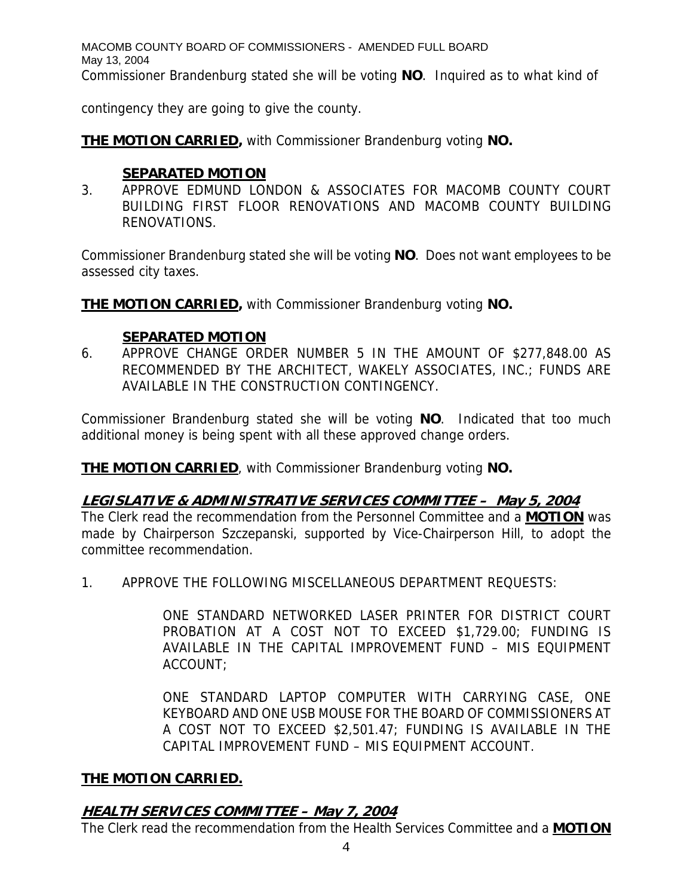MACOMB COUNTY BOARD OF COMMISSIONERS - AMENDED FULL BOARD May 13, 2004 Commissioner Brandenburg stated she will be voting **NO**. Inquired as to what kind of

contingency they are going to give the county.

**THE MOTION CARRIED,** with Commissioner Brandenburg voting **NO.**

# **SEPARATED MOTION**

3. APPROVE EDMUND LONDON & ASSOCIATES FOR MACOMB COUNTY COURT BUILDING FIRST FLOOR RENOVATIONS AND MACOMB COUNTY BUILDING RENOVATIONS.

Commissioner Brandenburg stated she will be voting **NO**. Does not want employees to be assessed city taxes.

**THE MOTION CARRIED,** with Commissioner Brandenburg voting **NO.**

### **SEPARATED MOTION**

6. APPROVE CHANGE ORDER NUMBER 5 IN THE AMOUNT OF \$277,848.00 AS RECOMMENDED BY THE ARCHITECT, WAKELY ASSOCIATES, INC.; FUNDS ARE AVAILABLE IN THE CONSTRUCTION CONTINGENCY.

Commissioner Brandenburg stated she will be voting **NO**. Indicated that too much additional money is being spent with all these approved change orders.

**THE MOTION CARRIED**, with Commissioner Brandenburg voting **NO.**

# **LEGISLATIVE & ADMINISTRATIVE SERVICES COMMITTEE – May 5, 2004**

The Clerk read the recommendation from the Personnel Committee and a **MOTION** was made by Chairperson Szczepanski, supported by Vice-Chairperson Hill, to adopt the committee recommendation.

1. APPROVE THE FOLLOWING MISCELLANEOUS DEPARTMENT REQUESTS:

ONE STANDARD NETWORKED LASER PRINTER FOR DISTRICT COURT PROBATION AT A COST NOT TO EXCEED \$1,729.00; FUNDING IS AVAILABLE IN THE CAPITAL IMPROVEMENT FUND – MIS EQUIPMENT ACCOUNT;

ONE STANDARD LAPTOP COMPUTER WITH CARRYING CASE, ONE KEYBOARD AND ONE USB MOUSE FOR THE BOARD OF COMMISSIONERS AT A COST NOT TO EXCEED \$2,501.47; FUNDING IS AVAILABLE IN THE CAPITAL IMPROVEMENT FUND – MIS EQUIPMENT ACCOUNT.

# **THE MOTION CARRIED.**

# **HEALTH SERVICES COMMITTEE – May 7, 2004**

The Clerk read the recommendation from the Health Services Committee and a **MOTION**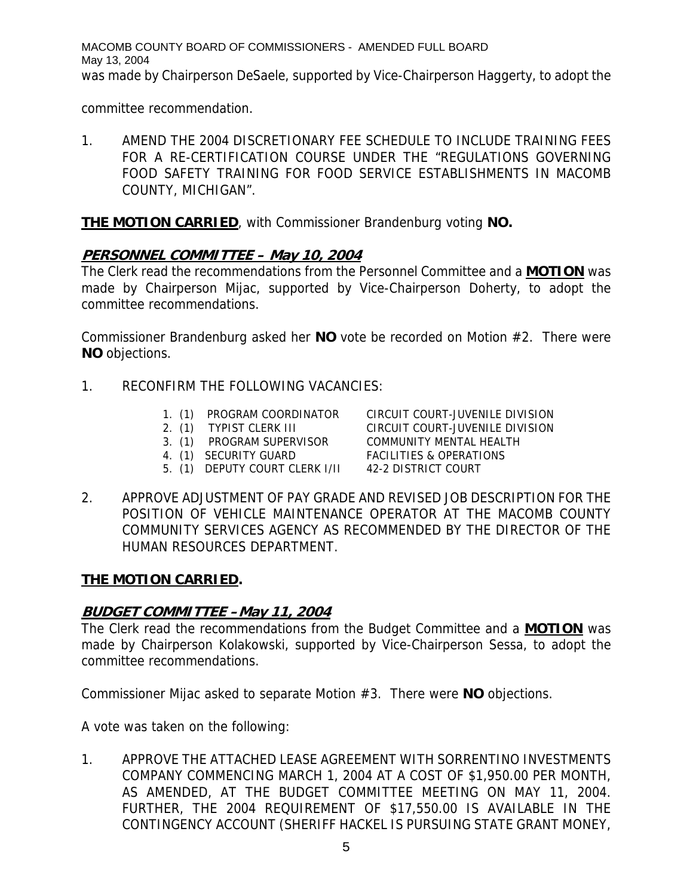MACOMB COUNTY BOARD OF COMMISSIONERS - AMENDED FULL BOARD May 13, 2004 was made by Chairperson DeSaele, supported by Vice-Chairperson Haggerty, to adopt the

committee recommendation.

1. AMEND THE 2004 DISCRETIONARY FEE SCHEDULE TO INCLUDE TRAINING FEES FOR A RE-CERTIFICATION COURSE UNDER THE "REGULATIONS GOVERNING FOOD SAFETY TRAINING FOR FOOD SERVICE ESTABLISHMENTS IN MACOMB COUNTY, MICHIGAN".

**THE MOTION CARRIED**, with Commissioner Brandenburg voting **NO.** 

# **PERSONNEL COMMITTEE – May 10, 2004**

The Clerk read the recommendations from the Personnel Committee and a **MOTION** was made by Chairperson Mijac, supported by Vice-Chairperson Doherty, to adopt the committee recommendations.

Commissioner Brandenburg asked her **NO** vote be recorded on Motion #2. There were **NO** objections.

- 1. RECONFIRM THE FOLLOWING VACANCIES:
	- 1. (1) PROGRAM COORDINATOR CIRCUIT COURT-JUVENILE DIVISION
	- 2. (1) TYPIST CLERK III CIRCUIT COURT-JUVENILE DIVISION

- 3. (1) PROGRAM SUPERVISOR COMMUNITY MENTAL HEALTH
- 
- 5. (1) DEPUTY COURT CLERK I/II 42-2 DISTRICT COURT

4. (1) SECURITY GUARD FACILITIES & OPERATIONS

- 
- 2. APPROVE ADJUSTMENT OF PAY GRADE AND REVISED JOB DESCRIPTION FOR THE POSITION OF VEHICLE MAINTENANCE OPERATOR AT THE MACOMB COUNTY COMMUNITY SERVICES AGENCY AS RECOMMENDED BY THE DIRECTOR OF THE HUMAN RESOURCES DEPARTMENT.

# **THE MOTION CARRIED.**

# **BUDGET COMMITTEE –May 11, 2004**

The Clerk read the recommendations from the Budget Committee and a **MOTION** was made by Chairperson Kolakowski, supported by Vice-Chairperson Sessa, to adopt the committee recommendations.

Commissioner Mijac asked to separate Motion #3. There were **NO** objections.

A vote was taken on the following:

1. APPROVE THE ATTACHED LEASE AGREEMENT WITH SORRENTINO INVESTMENTS COMPANY COMMENCING MARCH 1, 2004 AT A COST OF \$1,950.00 PER MONTH, AS AMENDED, AT THE BUDGET COMMITTEE MEETING ON MAY 11, 2004. FURTHER, THE 2004 REQUIREMENT OF \$17,550.00 IS AVAILABLE IN THE CONTINGENCY ACCOUNT (SHERIFF HACKEL IS PURSUING STATE GRANT MONEY,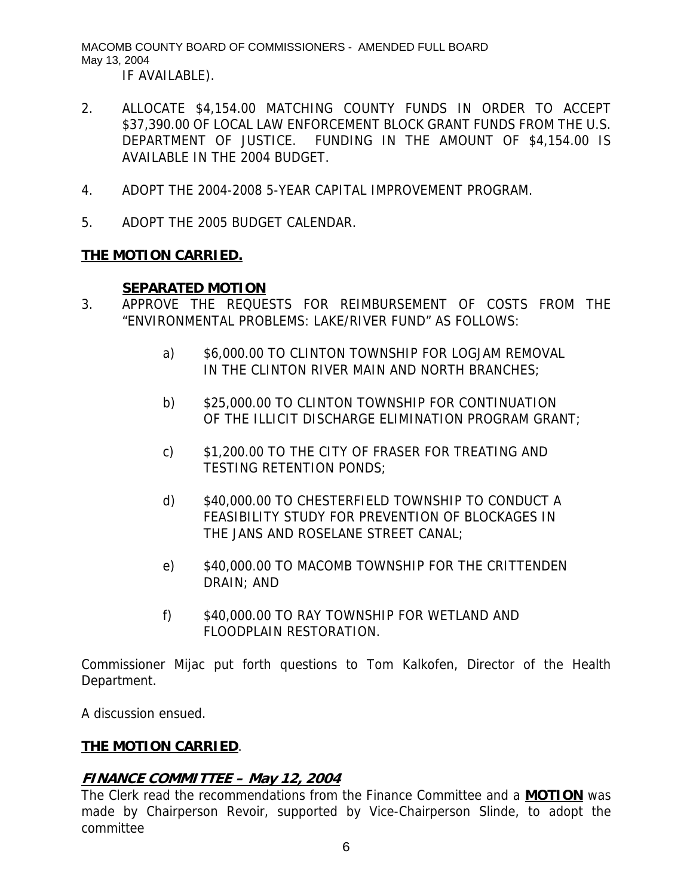MACOMB COUNTY BOARD OF COMMISSIONERS - AMENDED FULL BOARD May 13, 2004 IF AVAILABLE).

- 2. ALLOCATE \$4,154.00 MATCHING COUNTY FUNDS IN ORDER TO ACCEPT \$37,390.00 OF LOCAL LAW ENFORCEMENT BLOCK GRANT FUNDS FROM THE U.S. DEPARTMENT OF JUSTICE. FUNDING IN THE AMOUNT OF \$4,154.00 IS AVAILABLE IN THE 2004 BUDGET.
- 4. ADOPT THE 2004-2008 5-YEAR CAPITAL IMPROVEMENT PROGRAM.
- 5. ADOPT THE 2005 BUDGET CALENDAR.

### **THE MOTION CARRIED.**

#### **SEPARATED MOTION**

- 3. APPROVE THE REQUESTS FOR REIMBURSEMENT OF COSTS FROM THE "ENVIRONMENTAL PROBLEMS: LAKE/RIVER FUND" AS FOLLOWS:
	- a) \$6,000.00 TO CLINTON TOWNSHIP FOR LOGJAM REMOVAL IN THE CLINTON RIVER MAIN AND NORTH BRANCHES;
	- b) \$25,000.00 TO CLINTON TOWNSHIP FOR CONTINUATION OF THE ILLICIT DISCHARGE ELIMINATION PROGRAM GRANT;
	- c) \$1,200.00 TO THE CITY OF FRASER FOR TREATING AND TESTING RETENTION PONDS;
	- d) \$40,000.00 TO CHESTERFIELD TOWNSHIP TO CONDUCT A FEASIBILITY STUDY FOR PREVENTION OF BLOCKAGES IN THE JANS AND ROSELANE STREET CANAL;
	- e) \$40,000.00 TO MACOMB TOWNSHIP FOR THE CRITTENDEN DRAIN; AND
	- f) \$40,000.00 TO RAY TOWNSHIP FOR WETLAND AND FLOODPLAIN RESTORATION.

Commissioner Mijac put forth questions to Tom Kalkofen, Director of the Health Department.

A discussion ensued.

# **THE MOTION CARRIED**.

# **FINANCE COMMITTEE – May 12, 2004**

The Clerk read the recommendations from the Finance Committee and a **MOTION** was made by Chairperson Revoir, supported by Vice-Chairperson Slinde, to adopt the committee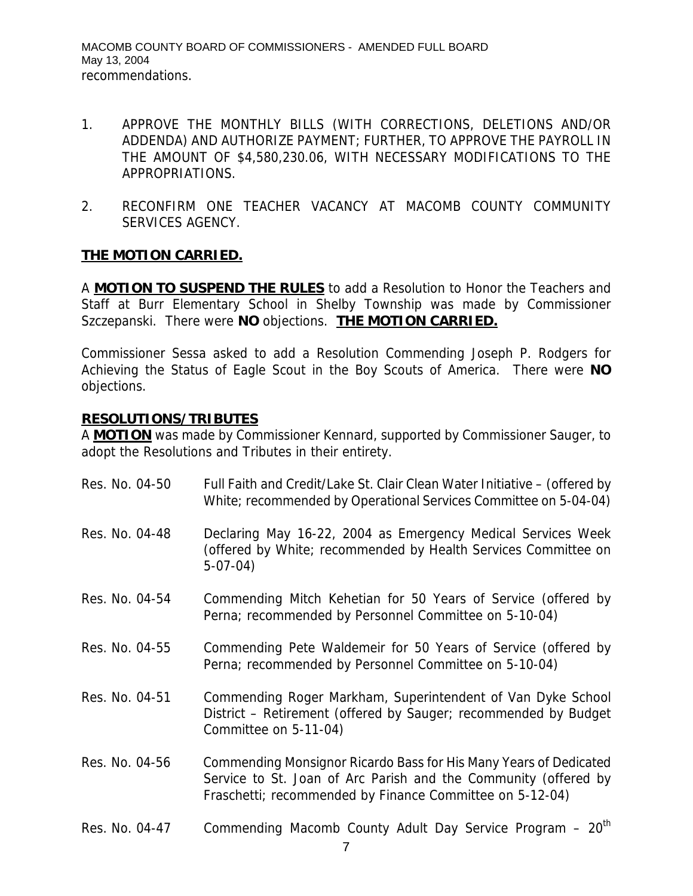- 1. APPROVE THE MONTHLY BILLS (WITH CORRECTIONS, DELETIONS AND/OR ADDENDA) AND AUTHORIZE PAYMENT; FURTHER, TO APPROVE THE PAYROLL IN THE AMOUNT OF \$4,580,230.06, WITH NECESSARY MODIFICATIONS TO THE APPROPRIATIONS.
- 2. RECONFIRM ONE TEACHER VACANCY AT MACOMB COUNTY COMMUNITY SERVICES AGENCY.

### **THE MOTION CARRIED.**

A **MOTION TO SUSPEND THE RULES** to add a Resolution to Honor the Teachers and Staff at Burr Elementary School in Shelby Township was made by Commissioner Szczepanski. There were **NO** objections. **THE MOTION CARRIED.** 

Commissioner Sessa asked to add a Resolution Commending Joseph P. Rodgers for Achieving the Status of Eagle Scout in the Boy Scouts of America. There were **NO** objections.

#### **RESOLUTIONS/TRIBUTES**

A **MOTION** was made by Commissioner Kennard, supported by Commissioner Sauger, to adopt the Resolutions and Tributes in their entirety.

| Res. No. 04-50 | Full Faith and Credit/Lake St. Clair Clean Water Initiative – (offered by<br>White; recommended by Operational Services Committee on 5-04-04)                                                    |
|----------------|--------------------------------------------------------------------------------------------------------------------------------------------------------------------------------------------------|
| Res. No. 04-48 | Declaring May 16-22, 2004 as Emergency Medical Services Week<br>(offered by White; recommended by Health Services Committee on<br>$5-07-04)$                                                     |
| Res. No. 04-54 | Commending Mitch Kehetian for 50 Years of Service (offered by<br>Perna; recommended by Personnel Committee on 5-10-04)                                                                           |
| Res. No. 04-55 | Commending Pete Waldemeir for 50 Years of Service (offered by<br>Perna; recommended by Personnel Committee on 5-10-04)                                                                           |
| Res. No. 04-51 | Commending Roger Markham, Superintendent of Van Dyke School<br>District – Retirement (offered by Sauger; recommended by Budget<br>Committee on 5-11-04)                                          |
| Res. No. 04-56 | Commending Monsignor Ricardo Bass for His Many Years of Dedicated<br>Service to St. Joan of Arc Parish and the Community (offered by<br>Fraschetti; recommended by Finance Committee on 5-12-04) |
| Res. No. 04-47 | Commending Macomb County Adult Day Service Program - 20 <sup>th</sup>                                                                                                                            |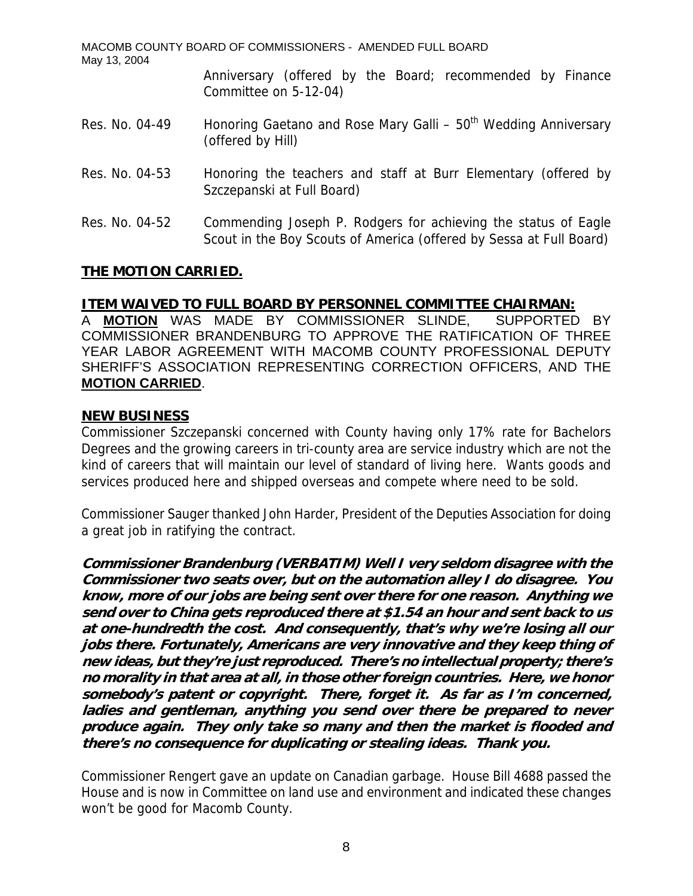| May 13, 2004   | MACOMB COUNTY BOARD OF COMMISSIONERS - AMENDED FULL BOARD                                                                             |
|----------------|---------------------------------------------------------------------------------------------------------------------------------------|
|                | Anniversary (offered by the Board; recommended by Finance<br>Committee on 5-12-04)                                                    |
| Res. No. 04-49 | Honoring Gaetano and Rose Mary Galli - 50 <sup>th</sup> Wedding Anniversary<br>(offered by Hill)                                      |
| Res. No. 04-53 | Honoring the teachers and staff at Burr Elementary (offered by<br>Szczepanski at Full Board)                                          |
| Res. No. 04-52 | Commending Joseph P. Rodgers for achieving the status of Eagle<br>Scout in the Boy Scouts of America (offered by Sessa at Full Board) |

### **THE MOTION CARRIED.**

#### **ITEM WAIVED TO FULL BOARD BY PERSONNEL COMMITTEE CHAIRMAN:**

A **MOTION** WAS MADE BY COMMISSIONER SLINDE, SUPPORTED BY COMMISSIONER BRANDENBURG TO APPROVE THE RATIFICATION OF THREE YEAR LABOR AGREEMENT WITH MACOMB COUNTY PROFESSIONAL DEPUTY SHERIFF'S ASSOCIATION REPRESENTING CORRECTION OFFICERS, AND THE **MOTION CARRIED**.

#### **NEW BUSINESS**

Commissioner Szczepanski concerned with County having only 17% rate for Bachelors Degrees and the growing careers in tri-county area are service industry which are not the kind of careers that will maintain our level of standard of living here. Wants goods and services produced here and shipped overseas and compete where need to be sold.

Commissioner Sauger thanked John Harder, President of the Deputies Association for doing a great job in ratifying the contract.

**Commissioner Brandenburg (VERBATIM) Well I very seldom disagree with the Commissioner two seats over, but on the automation alley I do disagree. You know, more of our jobs are being sent over there for one reason. Anything we send over to China gets reproduced there at \$1.54 an hour and sent back to us at one-hundredth the cost. And consequently, that's why we're losing all our jobs there. Fortunately, Americans are very innovative and they keep thing of new ideas, but they're just reproduced. There's no intellectual property; there's no morality in that area at all, in those other foreign countries. Here, we honor somebody's patent or copyright. There, forget it. As far as I'm concerned, ladies and gentleman, anything you send over there be prepared to never produce again. They only take so many and then the market is flooded and there's no consequence for duplicating or stealing ideas. Thank you.** 

Commissioner Rengert gave an update on Canadian garbage. House Bill 4688 passed the House and is now in Committee on land use and environment and indicated these changes won't be good for Macomb County.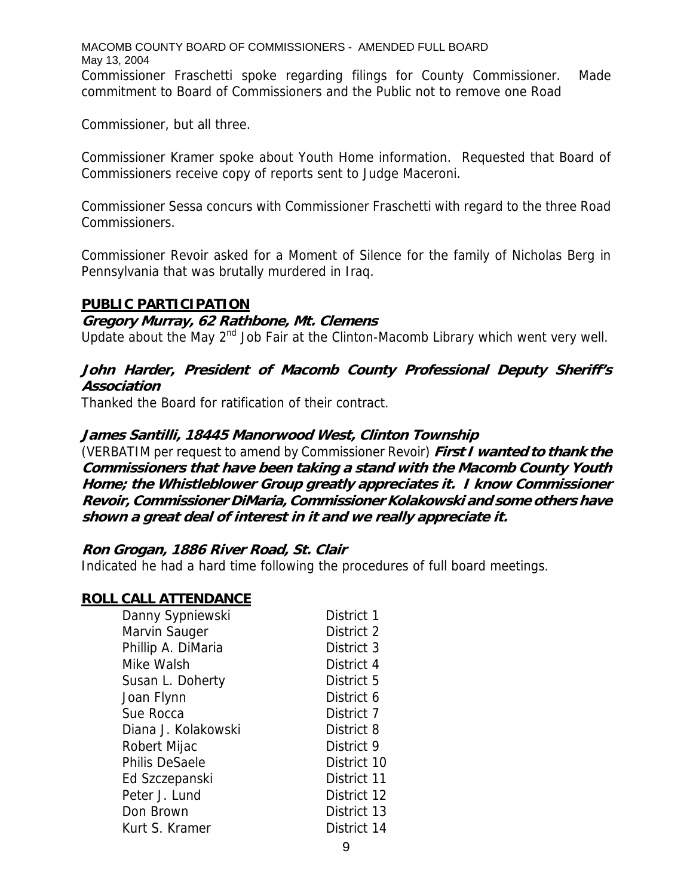MACOMB COUNTY BOARD OF COMMISSIONERS - AMENDED FULL BOARD May 13, 2004 Commissioner Fraschetti spoke regarding filings for County Commissioner. Made commitment to Board of Commissioners and the Public not to remove one Road

Commissioner, but all three.

Commissioner Kramer spoke about Youth Home information. Requested that Board of Commissioners receive copy of reports sent to Judge Maceroni.

Commissioner Sessa concurs with Commissioner Fraschetti with regard to the three Road Commissioners.

Commissioner Revoir asked for a Moment of Silence for the family of Nicholas Berg in Pennsylvania that was brutally murdered in Iraq.

#### **PUBLIC PARTICIPATION**

#### **Gregory Murray, 62 Rathbone, Mt. Clemens**

Update about the May  $2^{nd}$  Job Fair at the Clinton-Macomb Library which went very well.

# **John Harder, President of Macomb County Professional Deputy Sheriff's Association**

Thanked the Board for ratification of their contract.

### **James Santilli, 18445 Manorwood West, Clinton Township**

(VERBATIM per request to amend by Commissioner Revoir) **First I wanted to thank the Commissioners that have been taking a stand with the Macomb County Youth Home; the Whistleblower Group greatly appreciates it. I know Commissioner Revoir, Commissioner DiMaria, Commissioner Kolakowski and some others have shown a great deal of interest in it and we really appreciate it.** 

#### **Ron Grogan, 1886 River Road, St. Clair**

Indicated he had a hard time following the procedures of full board meetings.

#### **ROLL CALL ATTENDANCE**

| Danny Sypniewski      | District 1  |
|-----------------------|-------------|
| Marvin Sauger         | District 2  |
| Phillip A. DiMaria    | District 3  |
| Mike Walsh            | District 4  |
| Susan L. Doherty      | District 5  |
| Joan Flynn            | District 6  |
| Sue Rocca             | District 7  |
| Diana J. Kolakowski   | District 8  |
| Robert Mijac          | District 9  |
| <b>Philis DeSaele</b> | District 10 |
| Ed Szczepanski        | District 11 |
| Peter J. Lund         | District 12 |
| Don Brown             | District 13 |
| Kurt S. Kramer        | District 14 |